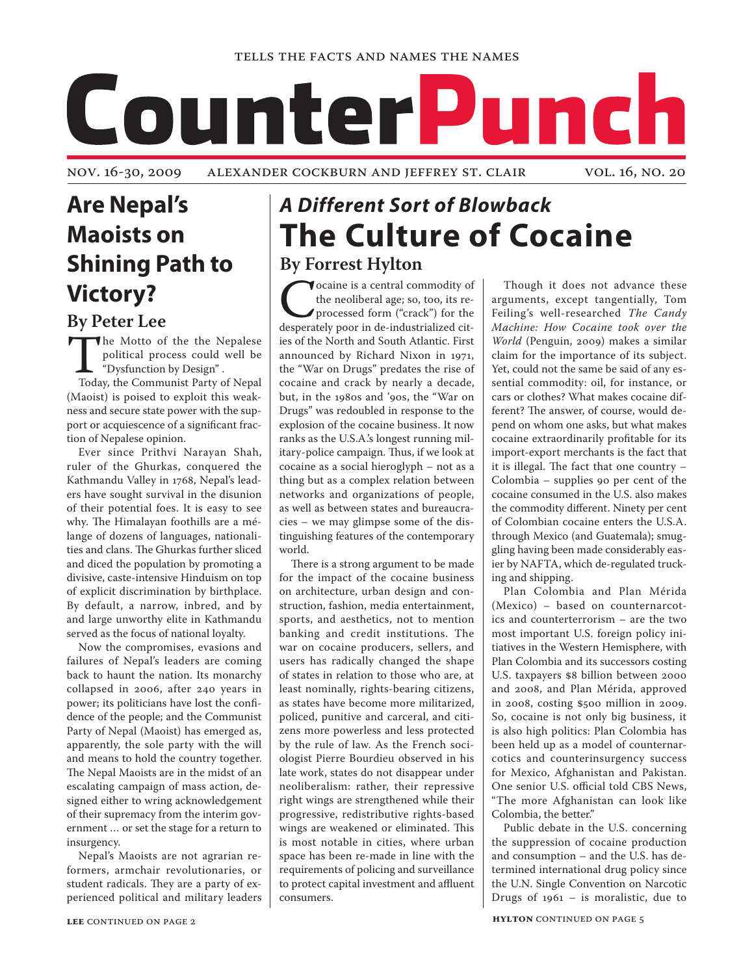# CounterPunch

nov. 16-30, 2009 Alexander Cockburn and Jeffrey St. Clair vol. 16, no. 20

# **Are Nepal's Maoists on Shining Path to Victory?**

## **By Peter Lee**

The Motto of the the Nepalese<br>political process could well be<br>"Dysfunction by Design".<br>Today, the Communist Party of Nepal political process could well be "Dysfunction by Design" . Today, the Communist Party of Nepal (Maoist) is poised to exploit this weakness and secure state power with the support or acquiescence of a significant fraction of Nepalese opinion.

Ever since Prithvi Narayan Shah, ruler of the Ghurkas, conquered the Kathmandu Valley in 1768, Nepal's leaders have sought survival in the disunion of their potential foes. It is easy to see why. The Himalayan foothills are a mélange of dozens of languages, nationalities and clans. The Ghurkas further sliced and diced the population by promoting a divisive, caste-intensive Hinduism on top of explicit discrimination by birthplace. By default, a narrow, inbred, and by and large unworthy elite in Kathmandu served as the focus of national loyalty.

Now the compromises, evasions and failures of Nepal's leaders are coming back to haunt the nation. Its monarchy collapsed in 2006, after 240 years in power; its politicians have lost the confidence of the people; and the Communist Party of Nepal (Maoist) has emerged as, apparently, the sole party with the will and means to hold the country together. The Nepal Maoists are in the midst of an escalating campaign of mass action, designed either to wring acknowledgement of their supremacy from the interim government … or set the stage for a return to insurgency.

Nepal's Maoists are not agrarian reformers, armchair revolutionaries, or student radicals. They are a party of experienced political and military leaders

# *A Different Sort of Blowback* **The Culture of Cocaine By Forrest Hylton**

Cocaine is a central commodity of<br>the neoliberal age; so, too, its re-<br>processed form ("crack") for the<br>desperately poor in de-industrialized citthe neoliberal age; so, too, its reprocessed form ("crack") for the ies of the North and South Atlantic. First announced by Richard Nixon in 1971, the "War on Drugs" predates the rise of cocaine and crack by nearly a decade, but, in the 1980s and '90s, the "War on Drugs" was redoubled in response to the explosion of the cocaine business. It now ranks as the U.S.A.'s longest running military-police campaign. Thus, if we look at cocaine as a social hieroglyph – not as a thing but as a complex relation between networks and organizations of people, as well as between states and bureaucracies – we may glimpse some of the distinguishing features of the contemporary world.

There is a strong argument to be made for the impact of the cocaine business on architecture, urban design and construction, fashion, media entertainment, sports, and aesthetics, not to mention banking and credit institutions. The war on cocaine producers, sellers, and users has radically changed the shape of states in relation to those who are, at least nominally, rights-bearing citizens, as states have become more militarized, policed, punitive and carceral, and citizens more powerless and less protected by the rule of law. As the French sociologist Pierre Bourdieu observed in his late work, states do not disappear under neoliberalism: rather, their repressive right wings are strengthened while their progressive, redistributive rights-based wings are weakened or eliminated. This is most notable in cities, where urban space has been re-made in line with the requirements of policing and surveillance to protect capital investment and affluent consumers.

Though it does not advance these arguments, except tangentially, Tom Feiling's well-researched *The Candy Machine: How Cocaine took over the World* (Penguin, 2009) makes a similar claim for the importance of its subject. Yet, could not the same be said of any essential commodity: oil, for instance, or cars or clothes? What makes cocaine different? The answer, of course, would depend on whom one asks, but what makes cocaine extraordinarily profitable for its import-export merchants is the fact that it is illegal. The fact that one country – Colombia – supplies 90 per cent of the cocaine consumed in the U.S. also makes the commodity different. Ninety per cent of Colombian cocaine enters the U.S.A. through Mexico (and Guatemala); smuggling having been made considerably easier by NAFTA, which de-regulated trucking and shipping.

Plan Colombia and Plan Mérida (Mexico) – based on counternarcotics and counterterrorism – are the two most important U.S. foreign policy initiatives in the Western Hemisphere, with Plan Colombia and its successors costing U.S. taxpayers \$8 billion between 2000 and 2008, and Plan Mérida, approved in 2008, costing \$500 million in 2009. So, cocaine is not only big business, it is also high politics: Plan Colombia has been held up as a model of counternarcotics and counterinsurgency success for Mexico, Afghanistan and Pakistan. One senior U.S. official told CBS News, "The more Afghanistan can look like Colombia, the better."

Public debate in the U.S. concerning the suppression of cocaine production and consumption – and the U.S. has determined international drug policy since the U.N. Single Convention on Narcotic Drugs of  $1961 -$  is moralistic, due to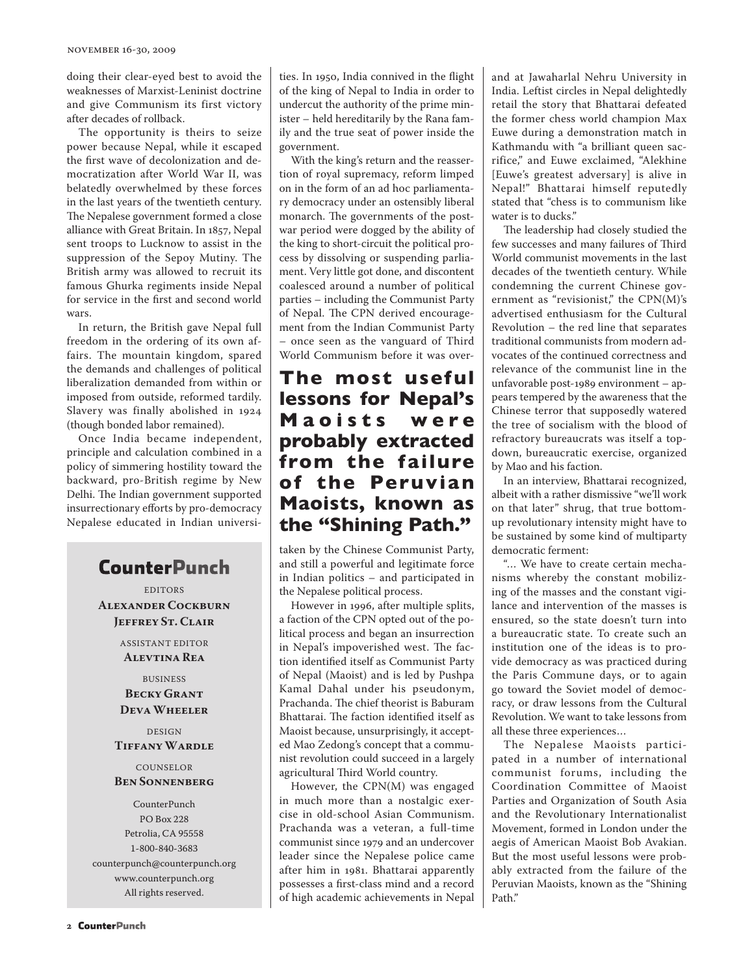doing their clear-eyed best to avoid the weaknesses of Marxist-Leninist doctrine and give Communism its first victory after decades of rollback.

The opportunity is theirs to seize power because Nepal, while it escaped the first wave of decolonization and democratization after World War II, was belatedly overwhelmed by these forces in the last years of the twentieth century. The Nepalese government formed a close alliance with Great Britain. In 1857, Nepal sent troops to Lucknow to assist in the suppression of the Sepoy Mutiny. The British army was allowed to recruit its famous Ghurka regiments inside Nepal for service in the first and second world wars.

In return, the British gave Nepal full freedom in the ordering of its own affairs. The mountain kingdom, spared the demands and challenges of political liberalization demanded from within or imposed from outside, reformed tardily. Slavery was finally abolished in 1924 (though bonded labor remained).

Once India became independent, principle and calculation combined in a policy of simmering hostility toward the backward, pro-British regime by New Delhi. The Indian government supported insurrectionary efforts by pro-democracy Nepalese educated in Indian universi-

# **CounterPunch**

EDITORS **Alexander Cockburn Jeffrey St. Clair**

> ASSISTANT EDITOR **Alevtina Rea**

BUSINESS **Becky Grant Deva Wheeler**

#### DESIGN **Tiffany Wardle**

#### COUNSELOR **Ben Sonnenberg**

CounterPunch PO Box 228 Petrolia, CA 95558 1-800-840-3683 counterpunch@counterpunch.org www.counterpunch.org All rights reserved.

ties. In 1950, India connived in the flight of the king of Nepal to India in order to undercut the authority of the prime minister – held hereditarily by the Rana family and the true seat of power inside the government.

With the king's return and the reassertion of royal supremacy, reform limped on in the form of an ad hoc parliamentary democracy under an ostensibly liberal monarch. The governments of the postwar period were dogged by the ability of the king to short-circuit the political process by dissolving or suspending parliament. Very little got done, and discontent coalesced around a number of political parties – including the Communist Party of Nepal. The CPN derived encouragement from the Indian Communist Party – once seen as the vanguard of Third World Communism before it was over-

# **The most useful lessons for Nepal's Magists were probably extracted from the failure of the Peruvian Maoists, known as the "Shining Path."**

taken by the Chinese Communist Party, and still a powerful and legitimate force in Indian politics – and participated in the Nepalese political process.

However in 1996, after multiple splits, a faction of the CPN opted out of the political process and began an insurrection in Nepal's impoverished west. The faction identified itself as Communist Party of Nepal (Maoist) and is led by Pushpa Kamal Dahal under his pseudonym, Prachanda. The chief theorist is Baburam Bhattarai. The faction identified itself as Maoist because, unsurprisingly, it accepted Mao Zedong's concept that a communist revolution could succeed in a largely agricultural Third World country.

However, the CPN(M) was engaged in much more than a nostalgic exercise in old-school Asian Communism. Prachanda was a veteran, a full-time communist since 1979 and an undercover leader since the Nepalese police came after him in 1981. Bhattarai apparently possesses a first-class mind and a record of high academic achievements in Nepal and at Jawaharlal Nehru University in India. Leftist circles in Nepal delightedly retail the story that Bhattarai defeated the former chess world champion Max Euwe during a demonstration match in Kathmandu with "a brilliant queen sacrifice," and Euwe exclaimed, "Alekhine [Euwe's greatest adversary] is alive in Nepal!" Bhattarai himself reputedly stated that "chess is to communism like water is to ducks."

The leadership had closely studied the few successes and many failures of Third World communist movements in the last decades of the twentieth century. While condemning the current Chinese government as "revisionist," the CPN(M)'s advertised enthusiasm for the Cultural Revolution – the red line that separates traditional communists from modern advocates of the continued correctness and relevance of the communist line in the unfavorable post-1989 environment – appears tempered by the awareness that the Chinese terror that supposedly watered the tree of socialism with the blood of refractory bureaucrats was itself a topdown, bureaucratic exercise, organized by Mao and his faction.

In an interview, Bhattarai recognized, albeit with a rather dismissive "we'll work on that later" shrug, that true bottomup revolutionary intensity might have to be sustained by some kind of multiparty democratic ferment:

"… We have to create certain mechanisms whereby the constant mobilizing of the masses and the constant vigilance and intervention of the masses is ensured, so the state doesn't turn into a bureaucratic state. To create such an institution one of the ideas is to provide democracy as was practiced during the Paris Commune days, or to again go toward the Soviet model of democracy, or draw lessons from the Cultural Revolution. We want to take lessons from all these three experiences…

The Nepalese Maoists participated in a number of international communist forums, including the Coordination Committee of Maoist Parties and Organization of South Asia and the Revolutionary Internationalist Movement, formed in London under the aegis of American Maoist Bob Avakian. But the most useful lessons were probably extracted from the failure of the Peruvian Maoists, known as the "Shining Path"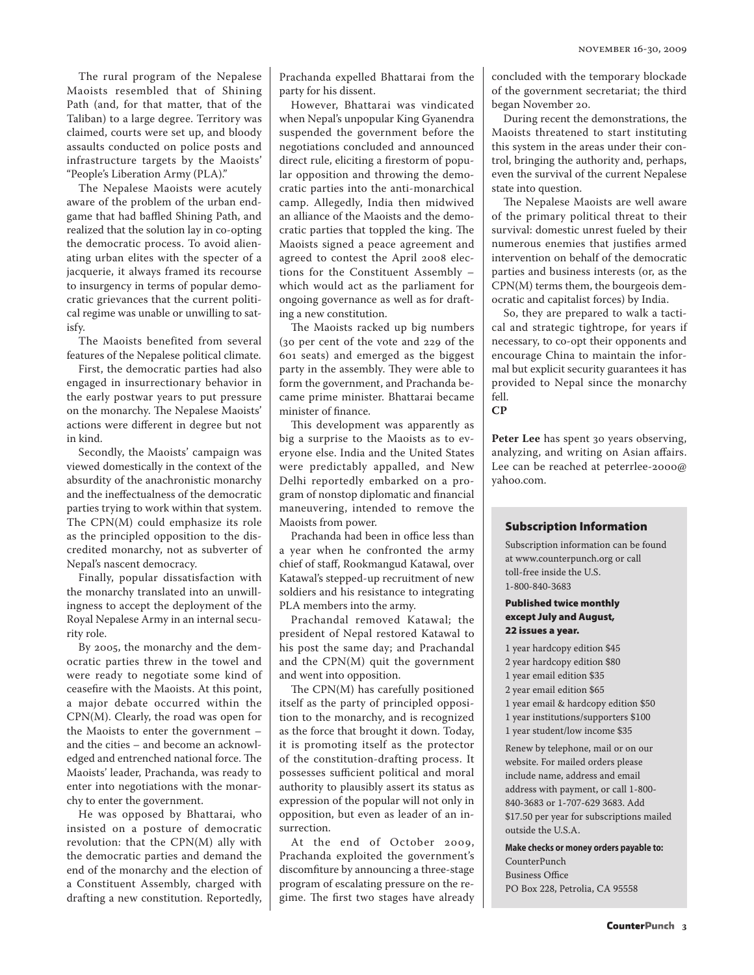The rural program of the Nepalese Maoists resembled that of Shining Path (and, for that matter, that of the Taliban) to a large degree. Territory was claimed, courts were set up, and bloody assaults conducted on police posts and infrastructure targets by the Maoists' "People's Liberation Army (PLA)."

The Nepalese Maoists were acutely aware of the problem of the urban endgame that had baffled Shining Path, and realized that the solution lay in co-opting the democratic process. To avoid alienating urban elites with the specter of a jacquerie, it always framed its recourse to insurgency in terms of popular democratic grievances that the current political regime was unable or unwilling to satisfy.

The Maoists benefited from several features of the Nepalese political climate.

First, the democratic parties had also engaged in insurrectionary behavior in the early postwar years to put pressure on the monarchy. The Nepalese Maoists' actions were different in degree but not in kind.

Secondly, the Maoists' campaign was viewed domestically in the context of the absurdity of the anachronistic monarchy and the ineffectualness of the democratic parties trying to work within that system. The CPN(M) could emphasize its role as the principled opposition to the discredited monarchy, not as subverter of Nepal's nascent democracy.

Finally, popular dissatisfaction with the monarchy translated into an unwillingness to accept the deployment of the Royal Nepalese Army in an internal security role.

By 2005, the monarchy and the democratic parties threw in the towel and were ready to negotiate some kind of ceasefire with the Maoists. At this point, a major debate occurred within the CPN(M). Clearly, the road was open for the Maoists to enter the government – and the cities – and become an acknowledged and entrenched national force. The Maoists' leader, Prachanda, was ready to enter into negotiations with the monarchy to enter the government.

He was opposed by Bhattarai, who insisted on a posture of democratic revolution: that the CPN(M) ally with the democratic parties and demand the end of the monarchy and the election of a Constituent Assembly, charged with drafting a new constitution. Reportedly,

Prachanda expelled Bhattarai from the party for his dissent.

However, Bhattarai was vindicated when Nepal's unpopular King Gyanendra suspended the government before the negotiations concluded and announced direct rule, eliciting a firestorm of popular opposition and throwing the democratic parties into the anti-monarchical camp. Allegedly, India then midwived an alliance of the Maoists and the democratic parties that toppled the king. The Maoists signed a peace agreement and agreed to contest the April 2008 elections for the Constituent Assembly – which would act as the parliament for ongoing governance as well as for drafting a new constitution.

The Maoists racked up big numbers (30 per cent of the vote and 229 of the 601 seats) and emerged as the biggest party in the assembly. They were able to form the government, and Prachanda became prime minister. Bhattarai became minister of finance.

This development was apparently as big a surprise to the Maoists as to everyone else. India and the United States were predictably appalled, and New Delhi reportedly embarked on a program of nonstop diplomatic and financial maneuvering, intended to remove the Maoists from power.

Prachanda had been in office less than a year when he confronted the army chief of staff, Rookmangud Katawal, over Katawal's stepped-up recruitment of new soldiers and his resistance to integrating PLA members into the army.

Prachandal removed Katawal; the president of Nepal restored Katawal to his post the same day; and Prachandal and the CPN(M) quit the government and went into opposition.

The CPN(M) has carefully positioned itself as the party of principled opposition to the monarchy, and is recognized as the force that brought it down. Today, it is promoting itself as the protector of the constitution-drafting process. It possesses sufficient political and moral authority to plausibly assert its status as expression of the popular will not only in opposition, but even as leader of an insurrection.

At the end of October 2009, Prachanda exploited the government's discomfiture by announcing a three-stage program of escalating pressure on the regime. The first two stages have already concluded with the temporary blockade of the government secretariat; the third began November 20.

During recent the demonstrations, the Maoists threatened to start instituting this system in the areas under their control, bringing the authority and, perhaps, even the survival of the current Nepalese state into question.

The Nepalese Maoists are well aware of the primary political threat to their survival: domestic unrest fueled by their numerous enemies that justifies armed intervention on behalf of the democratic parties and business interests (or, as the CPN(M) terms them, the bourgeois democratic and capitalist forces) by India.

So, they are prepared to walk a tactical and strategic tightrope, for years if necessary, to co-opt their opponents and encourage China to maintain the informal but explicit security guarantees it has provided to Nepal since the monarchy fell.

**CP**

Peter Lee has spent 30 years observing, analyzing, and writing on Asian affairs. Lee can be reached at peterrlee-2000@ yahoo.com.

#### Subscription Information

Subscription information can be found at www.counterpunch.org or call toll-free inside the U.S. 1-800-840-3683

#### Published twice monthly except July and August, 22 issues a year.

1 year hardcopy edition \$45 2 year hardcopy edition \$80 1 year email edition \$35 2 year email edition \$65 1 year email & hardcopy edition \$50 1 year institutions/supporters \$100 1 year student/low income \$35

Renew by telephone, mail or on our website. For mailed orders please include name, address and email address with payment, or call 1-800- 840-3683 or 1-707-629 3683. Add \$17.50 per year for subscriptions mailed outside the U.S.A.

**Make checks or money orders payable to:** 

CounterPunch Business Office PO Box 228, Petrolia, CA 95558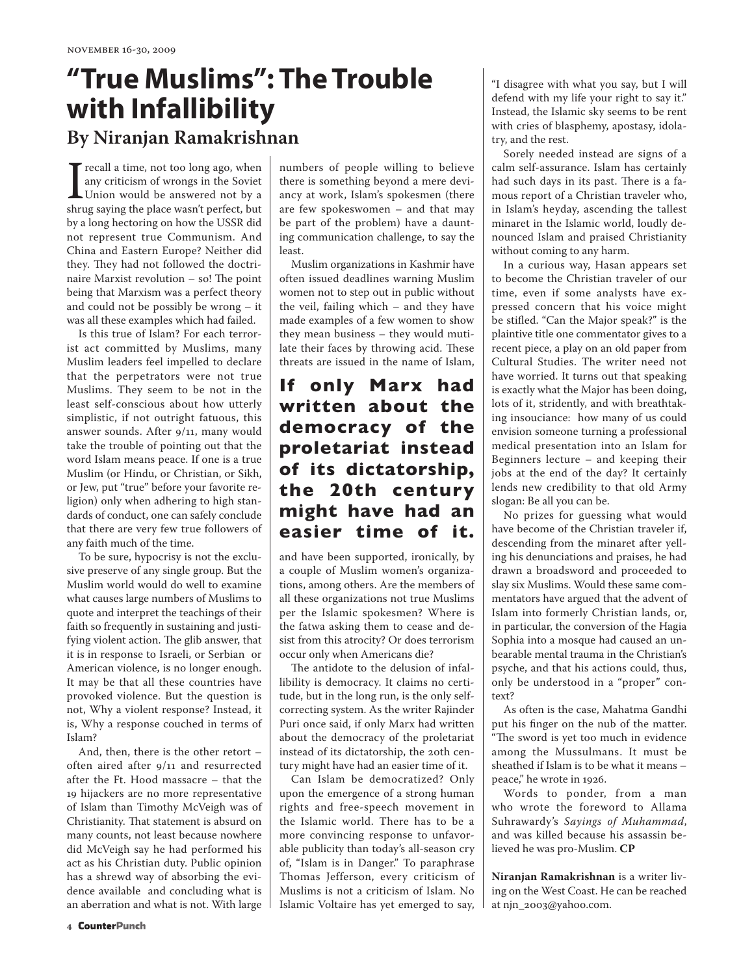# **"True Muslims": The Trouble with Infallibility By Niranjan Ramakrishnan**

I recall a time, not too long ago, when<br>any criticism of wrongs in the Soviet<br>Union would be answered not by a<br>shrug saying the place wasn't perfect, but any criticism of wrongs in the Soviet Union would be answered not by a by a long hectoring on how the USSR did not represent true Communism. And China and Eastern Europe? Neither did they. They had not followed the doctrinaire Marxist revolution – so! The point being that Marxism was a perfect theory and could not be possibly be wrong – it was all these examples which had failed.

Is this true of Islam? For each terrorist act committed by Muslims, many Muslim leaders feel impelled to declare that the perpetrators were not true Muslims. They seem to be not in the least self-conscious about how utterly simplistic, if not outright fatuous, this answer sounds. After 9/11, many would take the trouble of pointing out that the word Islam means peace. If one is a true Muslim (or Hindu, or Christian, or Sikh, or Jew, put "true" before your favorite religion) only when adhering to high standards of conduct, one can safely conclude that there are very few true followers of any faith much of the time.

To be sure, hypocrisy is not the exclusive preserve of any single group. But the Muslim world would do well to examine what causes large numbers of Muslims to quote and interpret the teachings of their faith so frequently in sustaining and justifying violent action. The glib answer, that it is in response to Israeli, or Serbian or American violence, is no longer enough. It may be that all these countries have provoked violence. But the question is not, Why a violent response? Instead, it is, Why a response couched in terms of Islam?

And, then, there is the other retort – often aired after 9/11 and resurrected after the Ft. Hood massacre – that the 19 hijackers are no more representative of Islam than Timothy McVeigh was of Christianity. That statement is absurd on many counts, not least because nowhere did McVeigh say he had performed his act as his Christian duty. Public opinion has a shrewd way of absorbing the evidence available and concluding what is an aberration and what is not. With large

numbers of people willing to believe there is something beyond a mere deviancy at work, Islam's spokesmen (there are few spokeswomen – and that may be part of the problem) have a daunting communication challenge, to say the least.

Muslim organizations in Kashmir have often issued deadlines warning Muslim women not to step out in public without the veil, failing which – and they have made examples of a few women to show they mean business – they would mutilate their faces by throwing acid. These threats are issued in the name of Islam,

# **If only Marx had written about the democracy of the proletariat instead of its dictatorship, the 20th century might have had an easier time of it.**

and have been supported, ironically, by a couple of Muslim women's organizations, among others. Are the members of all these organizations not true Muslims per the Islamic spokesmen? Where is the fatwa asking them to cease and desist from this atrocity? Or does terrorism occur only when Americans die?

The antidote to the delusion of infallibility is democracy. It claims no certitude, but in the long run, is the only selfcorrecting system. As the writer Rajinder Puri once said, if only Marx had written about the democracy of the proletariat instead of its dictatorship, the 20th century might have had an easier time of it.

Can Islam be democratized? Only upon the emergence of a strong human rights and free-speech movement in the Islamic world. There has to be a more convincing response to unfavorable publicity than today's all-season cry of, "Islam is in Danger." To paraphrase Thomas Jefferson, every criticism of Muslims is not a criticism of Islam. No Islamic Voltaire has yet emerged to say, "I disagree with what you say, but I will defend with my life your right to say it." Instead, the Islamic sky seems to be rent with cries of blasphemy, apostasy, idolatry, and the rest.

Sorely needed instead are signs of a calm self-assurance. Islam has certainly had such days in its past. There is a famous report of a Christian traveler who, in Islam's heyday, ascending the tallest minaret in the Islamic world, loudly denounced Islam and praised Christianity without coming to any harm.

In a curious way, Hasan appears set to become the Christian traveler of our time, even if some analysts have expressed concern that his voice might be stifled. "Can the Major speak?" is the plaintive title one commentator gives to a recent piece, a play on an old paper from Cultural Studies. The writer need not have worried. It turns out that speaking is exactly what the Major has been doing, lots of it, stridently, and with breathtaking insouciance: how many of us could envision someone turning a professional medical presentation into an Islam for Beginners lecture – and keeping their jobs at the end of the day? It certainly lends new credibility to that old Army slogan: Be all you can be.

No prizes for guessing what would have become of the Christian traveler if, descending from the minaret after yelling his denunciations and praises, he had drawn a broadsword and proceeded to slay six Muslims. Would these same commentators have argued that the advent of Islam into formerly Christian lands, or, in particular, the conversion of the Hagia Sophia into a mosque had caused an unbearable mental trauma in the Christian's psyche, and that his actions could, thus, only be understood in a "proper" context?

As often is the case, Mahatma Gandhi put his finger on the nub of the matter. "The sword is yet too much in evidence among the Mussulmans. It must be sheathed if Islam is to be what it means – peace," he wrote in 1926.

Words to ponder, from a man who wrote the foreword to Allama Suhrawardy's *Sayings of Muhammad*, and was killed because his assassin believed he was pro-Muslim. **CP**

**Niranjan Ramakrishnan** is a writer living on the West Coast. He can be reached at njn\_2003@yahoo.com.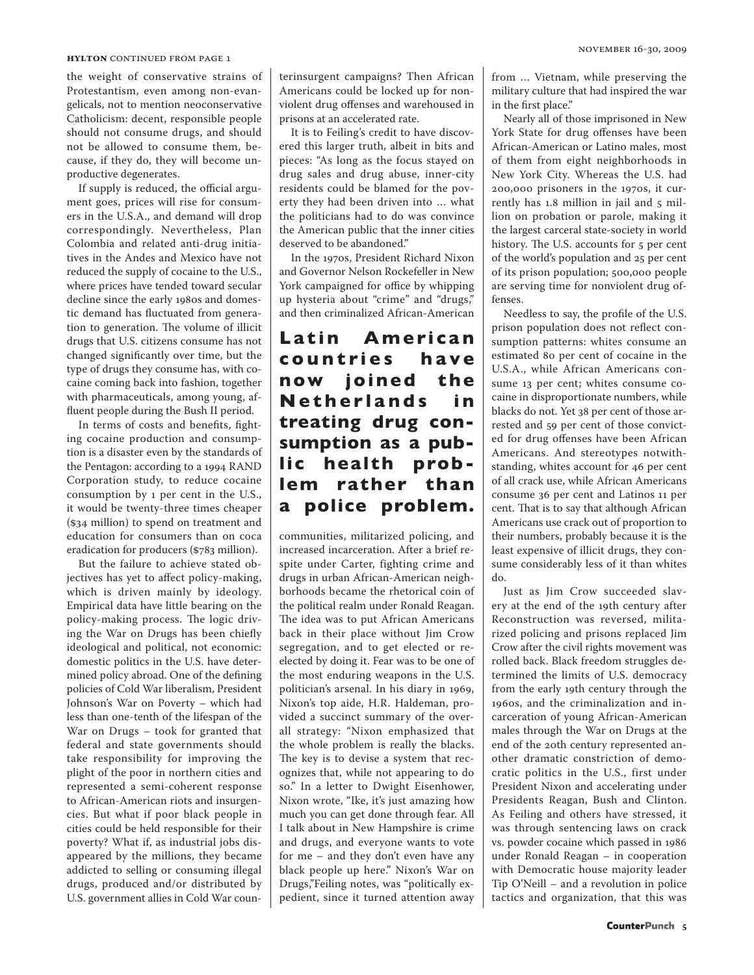#### **HYLTON** CONTINUED FROM PAGE 1

the weight of conservative strains of Protestantism, even among non-evangelicals, not to mention neoconservative Catholicism: decent, responsible people should not consume drugs, and should not be allowed to consume them, because, if they do, they will become unproductive degenerates.

If supply is reduced, the official argument goes, prices will rise for consumers in the U.S.A., and demand will drop correspondingly. Nevertheless, Plan Colombia and related anti-drug initiatives in the Andes and Mexico have not reduced the supply of cocaine to the U.S., where prices have tended toward secular decline since the early 1980s and domestic demand has fluctuated from generation to generation. The volume of illicit drugs that U.S. citizens consume has not changed significantly over time, but the type of drugs they consume has, with cocaine coming back into fashion, together with pharmaceuticals, among young, affluent people during the Bush II period.

In terms of costs and benefits, fighting cocaine production and consumption is a disaster even by the standards of the Pentagon: according to a 1994 RAND Corporation study, to reduce cocaine consumption by 1 per cent in the U.S., it would be twenty-three times cheaper (\$34 million) to spend on treatment and education for consumers than on coca eradication for producers (\$783 million).

But the failure to achieve stated objectives has yet to affect policy-making, which is driven mainly by ideology. Empirical data have little bearing on the policy-making process. The logic driving the War on Drugs has been chiefly ideological and political, not economic: domestic politics in the U.S. have determined policy abroad. One of the defining policies of Cold War liberalism, President Johnson's War on Poverty – which had less than one-tenth of the lifespan of the War on Drugs – took for granted that federal and state governments should take responsibility for improving the plight of the poor in northern cities and represented a semi-coherent response to African-American riots and insurgencies. But what if poor black people in cities could be held responsible for their poverty? What if, as industrial jobs disappeared by the millions, they became addicted to selling or consuming illegal drugs, produced and/or distributed by U.S. government allies in Cold War counterinsurgent campaigns? Then African Americans could be locked up for nonviolent drug offenses and warehoused in prisons at an accelerated rate.

It is to Feiling's credit to have discovered this larger truth, albeit in bits and pieces: "As long as the focus stayed on drug sales and drug abuse, inner-city residents could be blamed for the poverty they had been driven into … what the politicians had to do was convince the American public that the inner cities deserved to be abandoned."

In the 1970s, President Richard Nixon and Governor Nelson Rockefeller in New York campaigned for office by whipping up hysteria about "crime" and "drugs," and then criminalized African-American

## Latin **American c o u n t ri e s h a v e now joined the Netherlands** in **treating drug consumption as a public health problem rather than a police problem.**

communities, militarized policing, and increased incarceration. After a brief respite under Carter, fighting crime and drugs in urban African-American neighborhoods became the rhetorical coin of the political realm under Ronald Reagan. The idea was to put African Americans back in their place without Jim Crow segregation, and to get elected or reelected by doing it. Fear was to be one of the most enduring weapons in the U.S. politician's arsenal. In his diary in 1969, Nixon's top aide, H.R. Haldeman, provided a succinct summary of the overall strategy: "Nixon emphasized that the whole problem is really the blacks. The key is to devise a system that recognizes that, while not appearing to do so." In a letter to Dwight Eisenhower, Nixon wrote, "Ike, it's just amazing how much you can get done through fear. All I talk about in New Hampshire is crime and drugs, and everyone wants to vote for me – and they don't even have any black people up here." Nixon's War on Drugs,"Feiling notes, was "politically expedient, since it turned attention away from … Vietnam, while preserving the military culture that had inspired the war in the first place."

Nearly all of those imprisoned in New York State for drug offenses have been African-American or Latino males, most of them from eight neighborhoods in New York City. Whereas the U.S. had 200,000 prisoners in the 1970s, it currently has 1.8 million in jail and 5 million on probation or parole, making it the largest carceral state-society in world history. The U.S. accounts for 5 per cent of the world's population and 25 per cent of its prison population; 500,000 people are serving time for nonviolent drug offenses.

Needless to say, the profile of the U.S. prison population does not reflect consumption patterns: whites consume an estimated 80 per cent of cocaine in the U.S.A., while African Americans consume 13 per cent; whites consume cocaine in disproportionate numbers, while blacks do not. Yet 38 per cent of those arrested and 59 per cent of those convicted for drug offenses have been African Americans. And stereotypes notwithstanding, whites account for 46 per cent of all crack use, while African Americans consume 36 per cent and Latinos 11 per cent. That is to say that although African Americans use crack out of proportion to their numbers, probably because it is the least expensive of illicit drugs, they consume considerably less of it than whites do.

Just as Jim Crow succeeded slavery at the end of the 19th century after Reconstruction was reversed, militarized policing and prisons replaced Jim Crow after the civil rights movement was rolled back. Black freedom struggles determined the limits of U.S. democracy from the early 19th century through the 1960s, and the criminalization and incarceration of young African-American males through the War on Drugs at the end of the 20th century represented another dramatic constriction of democratic politics in the U.S., first under President Nixon and accelerating under Presidents Reagan, Bush and Clinton. As Feiling and others have stressed, it was through sentencing laws on crack vs. powder cocaine which passed in 1986 under Ronald Reagan – in cooperation with Democratic house majority leader Tip O'Neill – and a revolution in police tactics and organization, that this was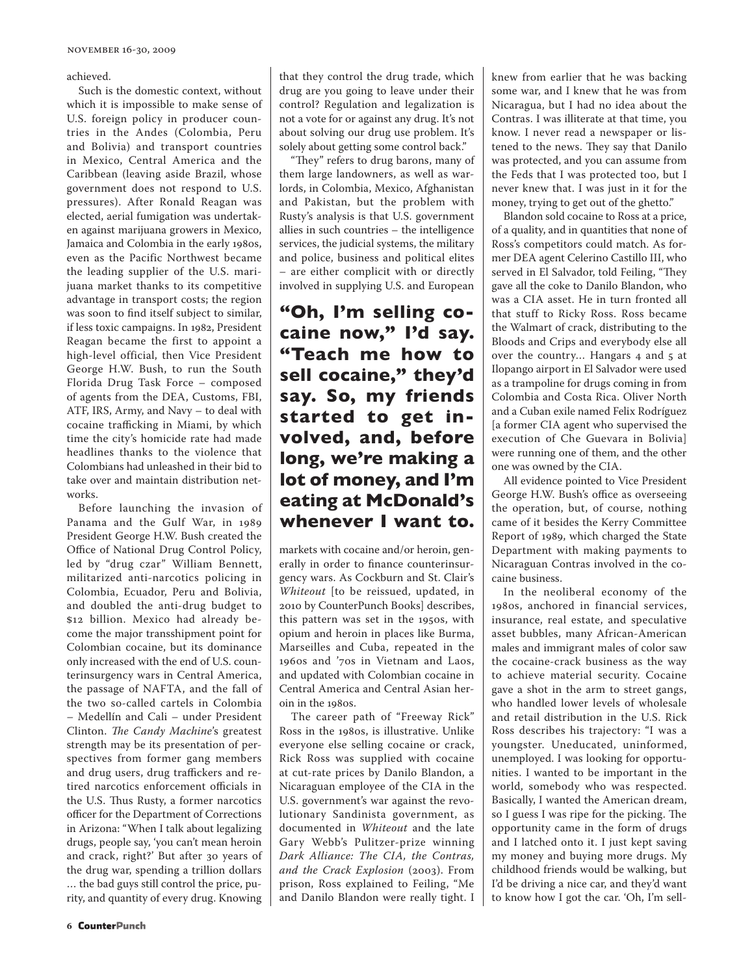achieved.

Such is the domestic context, without which it is impossible to make sense of U.S. foreign policy in producer countries in the Andes (Colombia, Peru and Bolivia) and transport countries in Mexico, Central America and the Caribbean (leaving aside Brazil, whose government does not respond to U.S. pressures). After Ronald Reagan was elected, aerial fumigation was undertaken against marijuana growers in Mexico, Jamaica and Colombia in the early 1980s, even as the Pacific Northwest became the leading supplier of the U.S. marijuana market thanks to its competitive advantage in transport costs; the region was soon to find itself subject to similar, if less toxic campaigns. In 1982, President Reagan became the first to appoint a high-level official, then Vice President George H.W. Bush, to run the South Florida Drug Task Force – composed of agents from the DEA, Customs, FBI, ATF, IRS, Army, and Navy – to deal with cocaine trafficking in Miami, by which time the city's homicide rate had made headlines thanks to the violence that Colombians had unleashed in their bid to take over and maintain distribution networks.

Before launching the invasion of Panama and the Gulf War, in 1989 President George H.W. Bush created the Office of National Drug Control Policy, led by "drug czar" William Bennett, militarized anti-narcotics policing in Colombia, Ecuador, Peru and Bolivia, and doubled the anti-drug budget to \$12 billion. Mexico had already become the major transshipment point for Colombian cocaine, but its dominance only increased with the end of U.S. counterinsurgency wars in Central America, the passage of NAFTA, and the fall of the two so-called cartels in Colombia – Medellín and Cali – under President Clinton. *The Candy Machine*'s greatest strength may be its presentation of perspectives from former gang members and drug users, drug traffickers and retired narcotics enforcement officials in the U.S. Thus Rusty, a former narcotics officer for the Department of Corrections in Arizona: "When I talk about legalizing drugs, people say, 'you can't mean heroin and crack, right?' But after 30 years of the drug war, spending a trillion dollars … the bad guys still control the price, purity, and quantity of every drug. Knowing that they control the drug trade, which drug are you going to leave under their control? Regulation and legalization is not a vote for or against any drug. It's not about solving our drug use problem. It's solely about getting some control back."

"They" refers to drug barons, many of them large landowners, as well as warlords, in Colombia, Mexico, Afghanistan and Pakistan, but the problem with Rusty's analysis is that U.S. government allies in such countries – the intelligence services, the judicial systems, the military and police, business and political elites – are either complicit with or directly involved in supplying U.S. and European

**"Oh, I'm selling cocaine now," I'd say. "Teach me how to sell cocaine," they'd say. So, my friends started to get involved, and, before long, we're making a lot of money, and I'm eating at McDonald's whenever I want to.**

markets with cocaine and/or heroin, generally in order to finance counterinsurgency wars. As Cockburn and St. Clair's *Whiteout* [to be reissued, updated, in 2010 by CounterPunch Books] describes, this pattern was set in the 1950s, with opium and heroin in places like Burma, Marseilles and Cuba, repeated in the 1960s and '70s in Vietnam and Laos, and updated with Colombian cocaine in Central America and Central Asian heroin in the 1980s.

The career path of "Freeway Rick" Ross in the 1980s, is illustrative. Unlike everyone else selling cocaine or crack, Rick Ross was supplied with cocaine at cut-rate prices by Danilo Blandon, a Nicaraguan employee of the CIA in the U.S. government's war against the revolutionary Sandinista government, as documented in *Whiteout* and the late Gary Webb's Pulitzer-prize winning *Dark Alliance: The CIA, the Contras, and the Crack Explosion* (2003). From prison, Ross explained to Feiling, "Me and Danilo Blandon were really tight. I knew from earlier that he was backing some war, and I knew that he was from Nicaragua, but I had no idea about the Contras. I was illiterate at that time, you know. I never read a newspaper or listened to the news. They say that Danilo was protected, and you can assume from the Feds that I was protected too, but I never knew that. I was just in it for the money, trying to get out of the ghetto."

Blandon sold cocaine to Ross at a price, of a quality, and in quantities that none of Ross's competitors could match. As former DEA agent Celerino Castillo III, who served in El Salvador, told Feiling, "They gave all the coke to Danilo Blandon, who was a CIA asset. He in turn fronted all that stuff to Ricky Ross. Ross became the Walmart of crack, distributing to the Bloods and Crips and everybody else all over the country… Hangars 4 and 5 at Ilopango airport in El Salvador were used as a trampoline for drugs coming in from Colombia and Costa Rica. Oliver North and a Cuban exile named Felix Rodríguez [a former CIA agent who supervised the execution of Che Guevara in Bolivia] were running one of them, and the other one was owned by the CIA.

All evidence pointed to Vice President George H.W. Bush's office as overseeing the operation, but, of course, nothing came of it besides the Kerry Committee Report of 1989, which charged the State Department with making payments to Nicaraguan Contras involved in the cocaine business.

In the neoliberal economy of the 1980s, anchored in financial services, insurance, real estate, and speculative asset bubbles, many African-American males and immigrant males of color saw the cocaine-crack business as the way to achieve material security. Cocaine gave a shot in the arm to street gangs, who handled lower levels of wholesale and retail distribution in the U.S. Rick Ross describes his trajectory: "I was a youngster. Uneducated, uninformed, unemployed. I was looking for opportunities. I wanted to be important in the world, somebody who was respected. Basically, I wanted the American dream, so I guess I was ripe for the picking. The opportunity came in the form of drugs and I latched onto it. I just kept saving my money and buying more drugs. My childhood friends would be walking, but I'd be driving a nice car, and they'd want to know how I got the car. 'Oh, I'm sell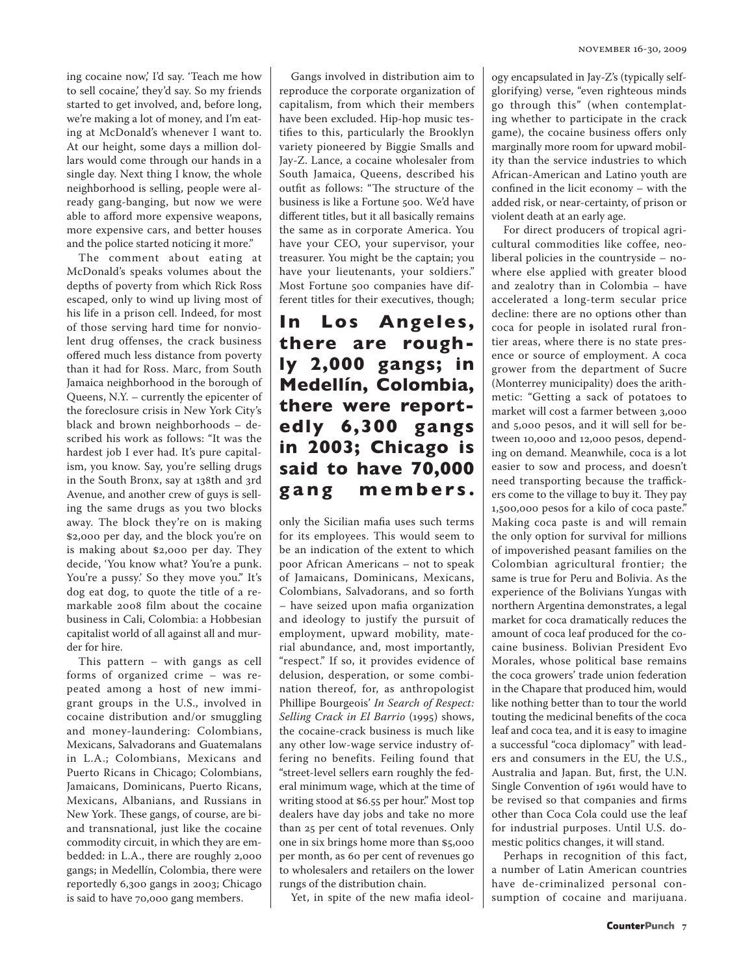ing cocaine now,' I'd say. 'Teach me how to sell cocaine,' they'd say. So my friends started to get involved, and, before long, we're making a lot of money, and I'm eating at McDonald's whenever I want to. At our height, some days a million dollars would come through our hands in a single day. Next thing I know, the whole neighborhood is selling, people were already gang-banging, but now we were able to afford more expensive weapons, more expensive cars, and better houses and the police started noticing it more."

The comment about eating at McDonald's speaks volumes about the depths of poverty from which Rick Ross escaped, only to wind up living most of his life in a prison cell. Indeed, for most of those serving hard time for nonviolent drug offenses, the crack business offered much less distance from poverty than it had for Ross. Marc, from South Jamaica neighborhood in the borough of Queens, N.Y. – currently the epicenter of the foreclosure crisis in New York City's black and brown neighborhoods – described his work as follows: "It was the hardest job I ever had. It's pure capitalism, you know. Say, you're selling drugs in the South Bronx, say at 138th and 3rd Avenue, and another crew of guys is selling the same drugs as you two blocks away. The block they're on is making \$2,000 per day, and the block you're on is making about \$2,000 per day. They decide, 'You know what? You're a punk. You're a pussy.' So they move you." It's dog eat dog, to quote the title of a remarkable 2008 film about the cocaine business in Cali, Colombia: a Hobbesian capitalist world of all against all and murder for hire.

This pattern – with gangs as cell forms of organized crime – was repeated among a host of new immigrant groups in the U.S., involved in cocaine distribution and/or smuggling and money-laundering: Colombians, Mexicans, Salvadorans and Guatemalans in L.A.; Colombians, Mexicans and Puerto Ricans in Chicago; Colombians, Jamaicans, Dominicans, Puerto Ricans, Mexicans, Albanians, and Russians in New York. These gangs, of course, are biand transnational, just like the cocaine commodity circuit, in which they are embedded: in L.A., there are roughly 2,000 gangs; in Medellín, Colombia, there were reportedly 6,300 gangs in 2003; Chicago is said to have 70,000 gang members.

Gangs involved in distribution aim to reproduce the corporate organization of capitalism, from which their members have been excluded. Hip-hop music testifies to this, particularly the Brooklyn variety pioneered by Biggie Smalls and Jay-Z. Lance, a cocaine wholesaler from South Jamaica, Queens, described his outfit as follows: "The structure of the business is like a Fortune 500. We'd have different titles, but it all basically remains the same as in corporate America. You have your CEO, your supervisor, your treasurer. You might be the captain; you have your lieutenants, your soldiers." Most Fortune 500 companies have different titles for their executives, though;

**In Los Angeles, there are roughly 2,000 gangs; in Medellín, Colombia, there were reportedly 6,300 gangs in 2003; Chicago is said to have 70,000 g a n g m e m b e rs .**

only the Sicilian mafia uses such terms for its employees. This would seem to be an indication of the extent to which poor African Americans – not to speak of Jamaicans, Dominicans, Mexicans, Colombians, Salvadorans, and so forth – have seized upon mafia organization and ideology to justify the pursuit of employment, upward mobility, material abundance, and, most importantly, "respect." If so, it provides evidence of delusion, desperation, or some combination thereof, for, as anthropologist Phillipe Bourgeois' *In Search of Respect: Selling Crack in El Barrio* (1995) shows, the cocaine-crack business is much like any other low-wage service industry offering no benefits. Feiling found that "street-level sellers earn roughly the federal minimum wage, which at the time of writing stood at \$6.55 per hour." Most top dealers have day jobs and take no more than 25 per cent of total revenues. Only one in six brings home more than \$5,000 per month, as 60 per cent of revenues go to wholesalers and retailers on the lower rungs of the distribution chain.

Yet, in spite of the new mafia ideol-

ogy encapsulated in Jay-Z's (typically selfglorifying) verse, "even righteous minds go through this" (when contemplating whether to participate in the crack game), the cocaine business offers only marginally more room for upward mobility than the service industries to which African-American and Latino youth are confined in the licit economy – with the added risk, or near-certainty, of prison or violent death at an early age.

For direct producers of tropical agricultural commodities like coffee, neoliberal policies in the countryside – nowhere else applied with greater blood and zealotry than in Colombia – have accelerated a long-term secular price decline: there are no options other than coca for people in isolated rural frontier areas, where there is no state presence or source of employment. A coca grower from the department of Sucre (Monterrey municipality) does the arithmetic: "Getting a sack of potatoes to market will cost a farmer between 3,000 and 5,000 pesos, and it will sell for between 10,000 and 12,000 pesos, depending on demand. Meanwhile, coca is a lot easier to sow and process, and doesn't need transporting because the traffickers come to the village to buy it. They pay 1,500,000 pesos for a kilo of coca paste." Making coca paste is and will remain the only option for survival for millions of impoverished peasant families on the Colombian agricultural frontier; the same is true for Peru and Bolivia. As the experience of the Bolivians Yungas with northern Argentina demonstrates, a legal market for coca dramatically reduces the amount of coca leaf produced for the cocaine business. Bolivian President Evo Morales, whose political base remains the coca growers' trade union federation in the Chapare that produced him, would like nothing better than to tour the world touting the medicinal benefits of the coca leaf and coca tea, and it is easy to imagine a successful "coca diplomacy" with leaders and consumers in the EU, the U.S., Australia and Japan. But, first, the U.N. Single Convention of 1961 would have to be revised so that companies and firms other than Coca Cola could use the leaf for industrial purposes. Until U.S. domestic politics changes, it will stand.

Perhaps in recognition of this fact, a number of Latin American countries have de-criminalized personal consumption of cocaine and marijuana.